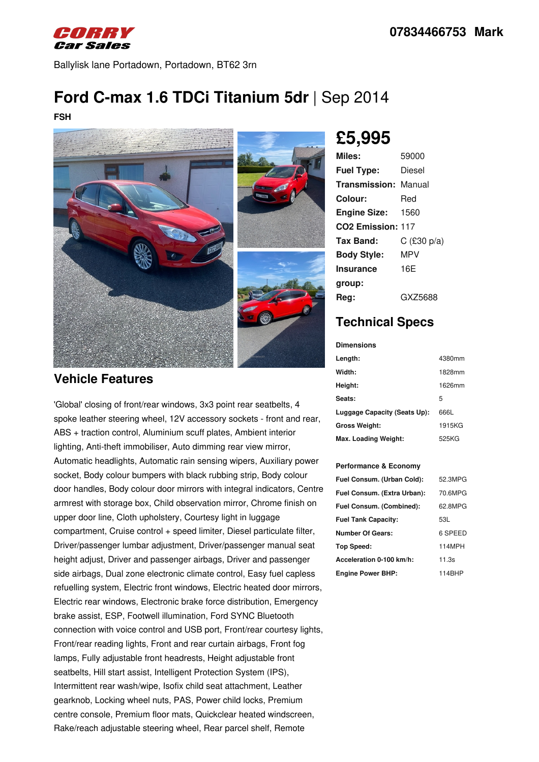

Ballylisk lane Portadown, Portadown, BT62 3rn

# **Ford C-max 1.6 TDCi Titanium 5dr** |Sep 2014

**FSH**



#### **Vehicle Features**

'Global' closing of front/rear windows, 3x3 point rear seatbelts, 4 spoke leather steering wheel, 12V accessory sockets - front and rear, ABS + traction control, Aluminium scuff plates, Ambient interior lighting, Anti-theft immobiliser, Auto dimming rear view mirror, Automatic headlights, Automatic rain sensing wipers, Auxiliary power socket, Body colour bumpers with black rubbing strip, Body colour door handles, Body colour door mirrors with integral indicators, Centre armrest with storage box, Child observation mirror, Chrome finish on upper door line, Cloth upholstery, Courtesy light in luggage compartment, Cruise control + speed limiter, Diesel particulate filter, Driver/passenger lumbar adjustment, Driver/passenger manual seat height adjust, Driver and passenger airbags, Driver and passenger side airbags, Dual zone electronic climate control, Easy fuel capless refuelling system, Electric front windows, Electric heated door mirrors, Electric rear windows, Electronic brake force distribution, Emergency brake assist, ESP, Footwell illumination, Ford SYNC Bluetooth connection with voice control and USB port, Front/rear courtesy lights, Front/rear reading lights, Front and rear curtain airbags, Front fog lamps, Fully adjustable front headrests, Height adjustable front seatbelts, Hill start assist, Intelligent Protection System (IPS), Intermittent rear wash/wipe, Isofix child seat attachment, Leather gearknob, Locking wheel nuts, PAS, Power child locks, Premium centre console, Premium floor mats, Quickclear heated windscreen, Rake/reach adjustable steering wheel, Rear parcel shelf, Remote

# **£5,995**

| Miles:                        | 59000         |
|-------------------------------|---------------|
| <b>Fuel Type:</b>             | Diesel        |
| <b>Transmission: Manual</b>   |               |
| Colour:                       | Red           |
| <b>Engine Size:</b>           | 1560          |
| CO <sub>2</sub> Emission: 117 |               |
| Tax Band:                     | C $(E30 p/a)$ |
| <b>Body Style:</b>            | MPV           |
| Insurance                     | 16F           |
| group:                        |               |
| Rea:                          | GX75688       |

## **Technical Specs**

**Dimensions**

| Length:                      | 4380mm |
|------------------------------|--------|
| Width:                       | 1828mm |
| Height:                      | 1626mm |
| <b>Seats:</b>                | 5      |
| Luggage Capacity (Seats Up): | 666L   |
| Gross Weight:                | 1915KG |
| Max. Loading Weight:         | 525KG  |

#### **Performance & Economy**

| Fuel Consum. (Urban Cold):  | 52.3MPG |
|-----------------------------|---------|
| Fuel Consum. (Extra Urban): | 70.6MPG |
| Fuel Consum. (Combined):    | 62.8MPG |
| <b>Fuel Tank Capacity:</b>  | 53L     |
| <b>Number Of Gears:</b>     | 6 SPEED |
| Top Speed:                  | 114MPH  |
| Acceleration 0-100 km/h:    | 11.3s   |
| <b>Engine Power BHP:</b>    | 114BHP  |